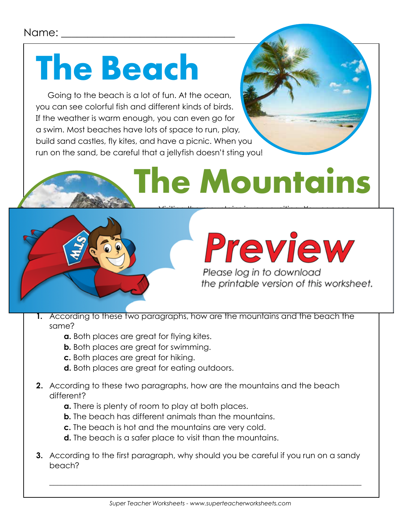#### Name:

### **The Beach**

Going to the beach is a lot of fun. At the ocean, you can see colorful fish and different kinds of birds. If the weather is warm enough, you can even go for a swim. Most beaches have lots of space to run, play, build sand castles, fly kites, and have a picnic. When you run on the sand, be careful that a jellyfish doesn't sting you!

# **The Mountains**



#### plants. If you watch carefully and quietly, you might even see a deer, a social and or a social strong, and or a single strong, and or a single strong, and or  $\blacksquare$  might go for a long higher  $\blacksquare$

Please log in to download the printable version of this worksheet.

- **1.** According to these two paragraphs, how are the mountains and the beach the same?
	- **a.** Both places are great for flying kites.
	- **b.** Both places are great for swimming.
	- **c.** Both places are great for hiking.
	- **d.** Both places are great for eating outdoors.
- **2.** According to these two paragraphs, how are the mountains and the beach different?
	- **a.** There is plenty of room to play at both places.
	- **b.** The beach has different animals than the mountains.
	- **c.** The beach is hot and the mountains are very cold.
	- **d.** The beach is a safer place to visit than the mountains.
- **3.** According to the first paragraph, why should you be careful if you run on a sandy beach?

\_\_\_\_\_\_\_\_\_\_\_\_\_\_\_\_\_\_\_\_\_\_\_\_\_\_\_\_\_\_\_\_\_\_\_\_\_\_\_\_\_\_\_\_\_\_\_\_\_\_\_\_\_\_\_\_\_\_\_\_\_\_\_\_\_\_\_\_\_\_\_\_\_\_\_\_\_\_\_\_